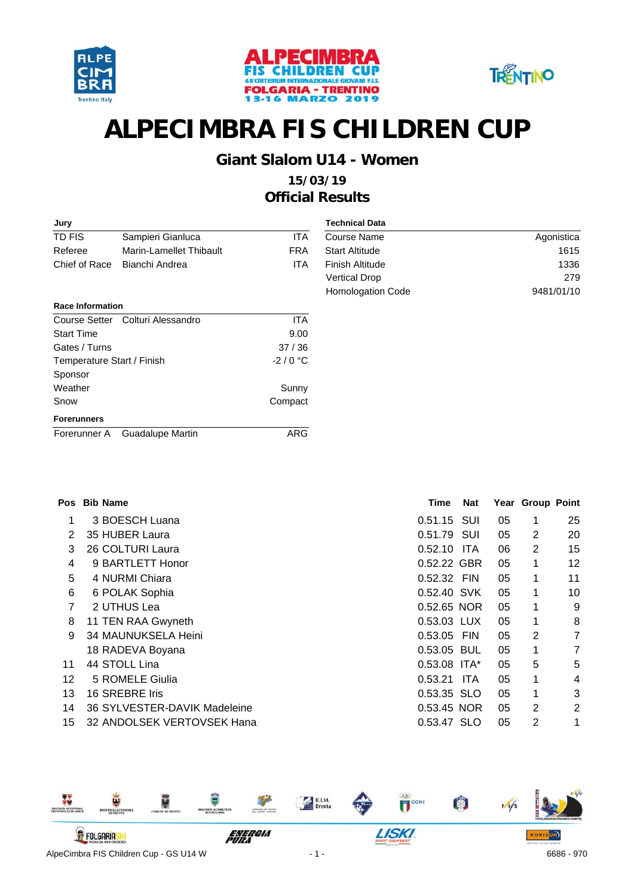





#### **Giant Slalom U14 - Women**

| Jury                       |                                  |            | <b>Technical Data</b>  |            |
|----------------------------|----------------------------------|------------|------------------------|------------|
| TD FIS                     | Sampieri Gianluca                | <b>ITA</b> | Course Name            | Agonistica |
| Referee                    | Marin-Lamellet Thibault          | <b>FRA</b> | <b>Start Altitude</b>  | 1615       |
| Chief of Race              | Bianchi Andrea                   | <b>ITA</b> | <b>Finish Altitude</b> | 1336       |
|                            |                                  |            | <b>Vertical Drop</b>   | 279        |
|                            |                                  |            | Homologation Code      | 9481/01/10 |
| <b>Race Information</b>    |                                  |            |                        |            |
|                            | Course Setter Colturi Alessandro | <b>ITA</b> |                        |            |
| <b>Start Time</b>          |                                  | 9.00       |                        |            |
| Gates / Turns              |                                  | 37/36      |                        |            |
| Temperature Start / Finish |                                  | $-2/0$ °C  |                        |            |
| Sponsor                    |                                  |            |                        |            |
| Weather                    |                                  | Sunny      |                        |            |
| Snow                       |                                  | Compact    |                        |            |
| <b>Forerunners</b>         |                                  |            |                        |            |
| Forerunner A               | <b>Guadalupe Martin</b>          | ARG        |                        |            |
|                            |                                  |            |                        |            |

| Pos | <b>Bib Name</b>              | Time        | Nat        |    | Year Group Point |                |
|-----|------------------------------|-------------|------------|----|------------------|----------------|
| 1   | 3 BOESCH Luana               | 0.51.15     | SUI        | 05 | 1                | 25             |
| 2   | 35 HUBER Laura               | 0.51.79     | SUI        | 05 | 2                | 20             |
| 3   | 26 COLTURI Laura             | 0.52.10     | <b>ITA</b> | 06 | 2                | 15             |
| 4   | 9 BARTLETT Honor             | 0.52.22 GBR |            | 05 | 1                | 12             |
| 5   | 4 NURMI Chiara               | 0.52.32 FIN |            | 05 | 1                | 11             |
| 6   | 6 POLAK Sophia               | 0.52.40 SVK |            | 05 | 1                | 10             |
| 7   | 2 UTHUS Lea                  | 0.52.65 NOR |            | 05 | 1                | 9              |
| 8   | 11 TEN RAA Gwyneth           | 0.53.03 LUX |            | 05 | 1                | 8              |
| 9   | 34 MAUNUKSELA Heini          | 0.53.05     | <b>FIN</b> | 05 | 2                | 7              |
|     | 18 RADEVA Boyana             | 0.53.05 BUL |            | 05 | 1                | 7              |
| 11  | 44 STOLL Lina                | 0.53.08     | ITA*       | 05 | 5                | 5              |
| 12  | 5 ROMELE Giulia              | 0.53.21     | ITA.       | 05 | 1                | 4              |
| 13  | 16 SREBRE Iris               | 0.53.35 SLO |            | 05 | 1                | 3              |
| 14  | 36 SYLVESTER-DAVIK Madeleine | 0.53.45 NOR |            | 05 | 2                | $\overline{2}$ |
| 15  | 32 ANDOLSEK VERTOVSEK Hana   | 0.53.47 SLO |            | 05 | 2                | 1              |

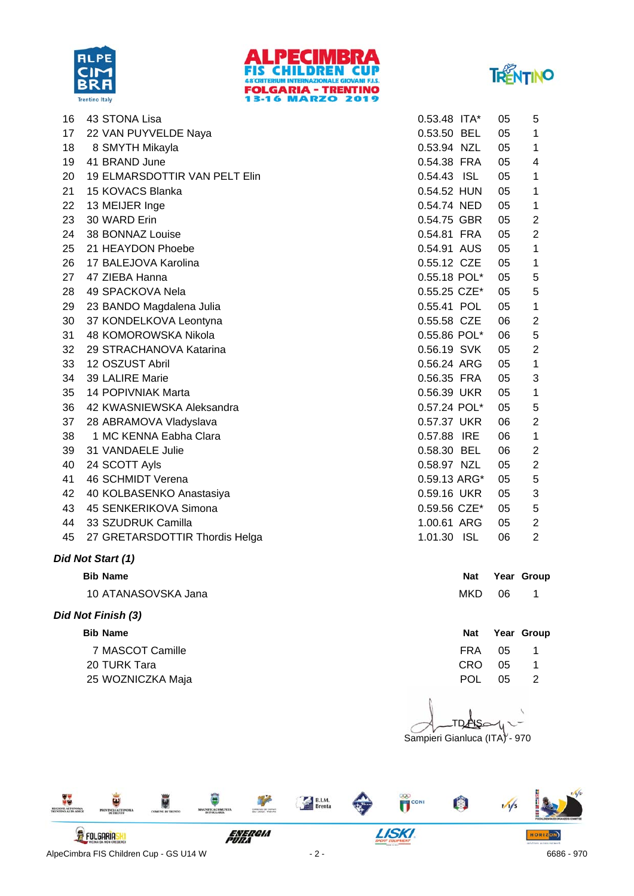





| 16 | 43 STONA Lisa                  | $0.53.48$ ITA* | 05 | 5              |
|----|--------------------------------|----------------|----|----------------|
| 17 | 22 VAN PUYVELDE Naya           | 0.53.50 BEL    | 05 | 1              |
| 18 | 8 SMYTH Mikayla                | 0.53.94 NZL    | 05 | 1              |
| 19 | 41 BRAND June                  | 0.54.38 FRA    | 05 | 4              |
| 20 | 19 ELMARSDOTTIR VAN PELT Elin  | 0.54.43 ISL    | 05 | 1              |
| 21 | 15 KOVACS Blanka               | 0.54.52 HUN    | 05 | 1              |
| 22 | 13 MEIJER Inge                 | 0.54.74 NED    | 05 | 1              |
| 23 | 30 WARD Erin                   | 0.54.75 GBR    | 05 | $\overline{2}$ |
| 24 | 38 BONNAZ Louise               | 0.54.81 FRA    | 05 | 2              |
| 25 | 21 HEAYDON Phoebe              | 0.54.91 AUS    | 05 | 1              |
| 26 | 17 BALEJOVA Karolina           | 0.55.12 CZE    | 05 | 1              |
| 27 | 47 ZIEBA Hanna                 | 0.55.18 POL*   | 05 | 5              |
| 28 | 49 SPACKOVA Nela               | 0.55.25 CZE*   | 05 | 5              |
| 29 | 23 BANDO Magdalena Julia       | 0.55.41 POL    | 05 | 1              |
| 30 | 37 KONDELKOVA Leontyna         | 0.55.58 CZE    | 06 | $\overline{2}$ |
| 31 | 48 KOMOROWSKA Nikola           | 0.55.86 POL*   | 06 | 5              |
| 32 | 29 STRACHANOVA Katarina        | 0.56.19 SVK    | 05 | $\overline{2}$ |
| 33 | 12 OSZUST Abril                | 0.56.24 ARG    | 05 | 1              |
| 34 | 39 LALIRE Marie                | 0.56.35 FRA    | 05 | 3              |
| 35 | 14 POPIVNIAK Marta             | 0.56.39 UKR    | 05 | 1              |
| 36 | 42 KWASNIEWSKA Aleksandra      | 0.57.24 POL*   | 05 | 5              |
| 37 | 28 ABRAMOVA Vladyslava         | 0.57.37 UKR    | 06 | $\overline{2}$ |
| 38 | 1 MC KENNA Eabha Clara         | 0.57.88 IRE    | 06 | 1              |
| 39 | 31 VANDAELE Julie              | 0.58.30 BEL    | 06 | 2              |
| 40 | 24 SCOTT Ayls                  | 0.58.97 NZL    | 05 | $\overline{2}$ |
| 41 | 46 SCHMIDT Verena              | 0.59.13 ARG*   | 05 | 5              |
| 42 | 40 KOLBASENKO Anastasiya       | 0.59.16 UKR    | 05 | 3              |
| 43 | 45 SENKERIKOVA Simona          | 0.59.56 CZE*   | 05 | 5              |
| 44 | 33 SZUDRUK Camilla             | 1.00.61 ARG    | 05 | $\overline{2}$ |
| 45 | 27 GRETARSDOTTIR Thordis Helga | 1.01.30 ISL    | 06 | $\overline{2}$ |

#### *Did Not Start (1)*

10 ATANASOVSKA Jana 1 MKD 06 1 MKD 06 1 MKD 06 1 MKD 06 1 MKD 06 MKD 06 MKD 06 MKD 06 MKD 06 MKD 06 MKD 06 MKD 06 MKD 06 MKD 06 MKD 06 MKD 06 MKD 06 MKD 06 MKD 06 MKD 06 MKD 06 MKD 06 MKD 06 MKD 06 MKD 06 MKD 06 MKD 06 MKD

#### *Did Not Finish (3)*

7 MASCOT Camille **FRA** 05 1 20 TURK Tara 20 TURK Tara CRO 25 TURK Tara CRO 25 TURK Tara CRO 25 TURK Tara CRO 25 TURK Tara CRO 25 TURK Tara CRO 25 TURK Tara CRO 25 TURK Tara CRO 25 TURK Tara CRO 25 TURK Tara CRO 25 TURK Tara CRO 25 TURK Tara CRO 25 TU 25 WOZNICZKA Maja **POL 05 2** 

**Nat Year Group** 

# **Bib** Name **Nat Year Group Nat Year Crown Controllering Crown 2008 10 Mat Year Group**

| 〃   | ິ  |        |
|-----|----|--------|
| POL | 05 | í<br>é |

Sampieri Gianluca (ITA) - 970 **TDAAS** 

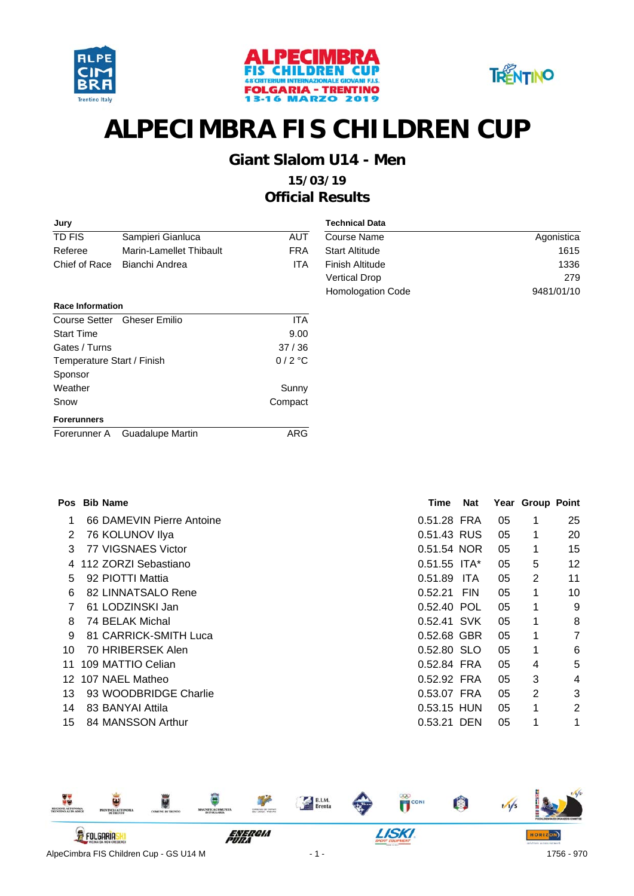





#### **Giant Slalom U14 - Men**

| Jury                       |                         |            | <b>Technical Data</b>  |            |
|----------------------------|-------------------------|------------|------------------------|------------|
| TD FIS                     | Sampieri Gianluca       | <b>AUT</b> | Course Name            | Agonistica |
| Referee                    | Marin-Lamellet Thibault | <b>FRA</b> | <b>Start Altitude</b>  | 1615       |
| Chief of Race              | Bianchi Andrea          | ITA        | <b>Finish Altitude</b> | 1336       |
|                            |                         |            | <b>Vertical Drop</b>   | 279        |
|                            |                         |            | Homologation Code      | 9481/01/10 |
| <b>Race Information</b>    |                         |            |                        |            |
| Course Setter              | <b>Gheser Emilio</b>    | <b>ITA</b> |                        |            |
| <b>Start Time</b>          |                         | 9.00       |                        |            |
| Gates / Turns              |                         | 37/36      |                        |            |
| Temperature Start / Finish |                         | $0/2$ °C   |                        |            |
| Sponsor                    |                         |            |                        |            |
| Weather                    |                         | Sunny      |                        |            |
| Snow                       |                         | Compact    |                        |            |
| <b>Forerunners</b>         |                         |            |                        |            |
| Forerunner A               | Guadalupe Martin        | ARG        |                        |            |
|                            |                         |            |                        |            |

|    | Pos Bib Name              | Time           | Nat        |    | Year Group Point |                |
|----|---------------------------|----------------|------------|----|------------------|----------------|
| 1  | 66 DAMEVIN Pierre Antoine | 0.51.28 FRA    |            | 05 | 1                | 25             |
| 2  | 76 KOLUNOV Ilya           | 0.51.43 RUS    |            | 05 | 1                | 20             |
| 3  | 77 VIGSNAES Victor        | 0.51.54 NOR    |            | 05 | 1                | 15             |
| 4  | 112 ZORZI Sebastiano      | $0.51.55$ ITA* |            | 05 | 5                | 12             |
| 5  | 92 PIOTTI Mattia          | 0.51.89        | <b>ITA</b> | 05 | 2                | 11             |
| 6  | 82 LINNATSALO Rene        | 0.52.21        | <b>FIN</b> | 05 | 1                | 10             |
| 7  | 61 LODZINSKI Jan          | 0.52.40 POL    |            | 05 | 1                | 9              |
| 8  | 74 BELAK Michal           | 0.52.41 SVK    |            | 05 | 1                | 8              |
| 9  | 81 CARRICK-SMITH Luca     | 0.52.68 GBR    |            | 05 | 1                | $\overline{7}$ |
| 10 | 70 HRIBERSEK Alen         | 0.52.80 SLO    |            | 05 | 1                | 6              |
| 11 | 109 MATTIO Celian         | 0.52.84 FRA    |            | 05 | 4                | 5              |
| 12 | 107 NAEL Matheo           | 0.52.92 FRA    |            | 05 | 3                | 4              |
| 13 | 93 WOODBRIDGE Charlie     | 0.53.07 FRA    |            | 05 | $\overline{2}$   | 3              |
| 14 | 83 BANYAI Attila          | 0.53.15 HUN    |            | 05 | 1                | 2              |
| 15 | 84 MANSSON Arthur         | 0.53.21 DEN    |            | 05 | 1                | 1              |

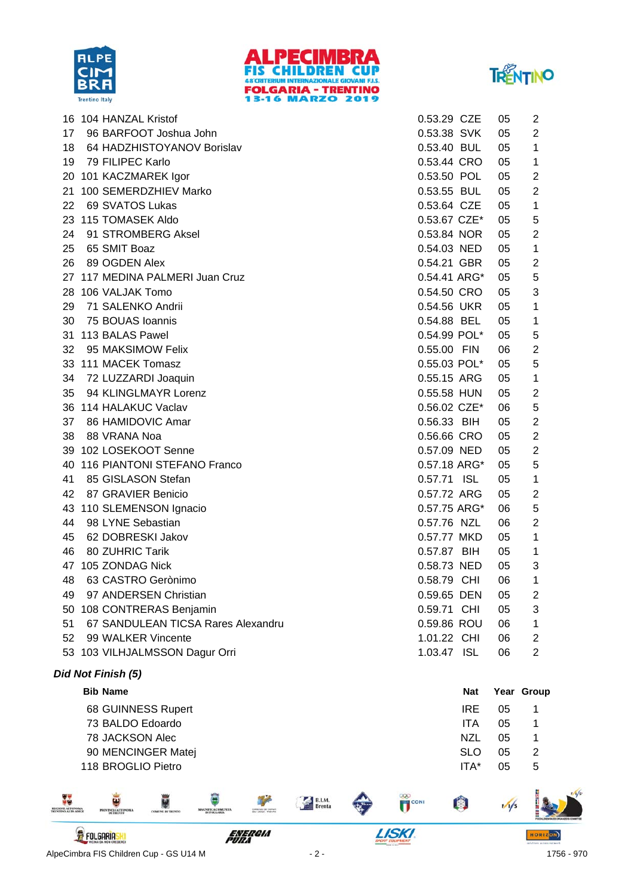





|    | 16 104 HANZAL Kristof              | 0.53.29 CZE  | 05 | 2              |
|----|------------------------------------|--------------|----|----------------|
| 17 | 96 BARFOOT Joshua John             | 0.53.38 SVK  | 05 | 2              |
| 18 | 64 HADZHISTOYANOV Borislav         | 0.53.40 BUL  | 05 | 1              |
| 19 | 79 FILIPEC Karlo                   | 0.53.44 CRO  | 05 | 1              |
|    | 20 101 KACZMAREK Igor              | 0.53.50 POL  | 05 | 2              |
|    | 21 100 SEMERDZHIEV Marko           | 0.53.55 BUL  | 05 | 2              |
| 22 | 69 SVATOS Lukas                    | 0.53.64 CZE  | 05 | 1              |
|    | 23 115 TOMASEK Aldo                | 0.53.67 CZE* | 05 | 5              |
| 24 | 91 STROMBERG Aksel                 | 0.53.84 NOR  | 05 | $\overline{2}$ |
| 25 | 65 SMIT Boaz                       | 0.54.03 NED  | 05 | $\mathbf{1}$   |
| 26 | 89 OGDEN Alex                      | 0.54.21 GBR  | 05 | $\overline{2}$ |
|    | 27 117 MEDINA PALMERI Juan Cruz    | 0.54.41 ARG* | 05 | 5              |
|    | 28 106 VALJAK Tomo                 | 0.54.50 CRO  | 05 | 3              |
| 29 | 71 SALENKO Andrii                  | 0.54.56 UKR  | 05 | 1              |
| 30 | 75 BOUAS Ioannis                   | 0.54.88 BEL  | 05 | 1              |
|    | 31 113 BALAS Pawel                 | 0.54.99 POL* | 05 | 5              |
| 32 | 95 MAKSIMOW Felix                  | 0.55.00 FIN  | 06 | 2              |
|    | 33 111 MACEK Tomasz                | 0.55.03 POL* | 05 | 5              |
| 34 | 72 LUZZARDI Joaquin                | 0.55.15 ARG  | 05 | 1              |
| 35 | 94 KLINGLMAYR Lorenz               | 0.55.58 HUN  | 05 | $\overline{2}$ |
|    | 36 114 HALAKUC Vaclav              | 0.56.02 CZE* | 06 | 5              |
| 37 | 86 HAMIDOVIC Amar                  | 0.56.33 BIH  | 05 | $\overline{2}$ |
| 38 | 88 VRANA Noa                       | 0.56.66 CRO  | 05 | $\overline{2}$ |
|    | 39 102 LOSEKOOT Senne              | 0.57.09 NED  | 05 | 2              |
|    | 40 116 PIANTONI STEFANO Franco     | 0.57.18 ARG* | 05 | 5              |
| 41 | 85 GISLASON Stefan                 | 0.57.71 ISL  | 05 | 1              |
| 42 | 87 GRAVIER Benicio                 | 0.57.72 ARG  | 05 | $\overline{2}$ |
|    | 43 110 SLEMENSON Ignacio           | 0.57.75 ARG* | 06 | 5              |
| 44 | 98 LYNE Sebastian                  | 0.57.76 NZL  | 06 | $\overline{2}$ |
| 45 | 62 DOBRESKI Jakov                  | 0.57.77 MKD  | 05 | 1              |
| 46 | 80 ZUHRIC Tarik                    | 0.57.87 BIH  | 05 | 1              |
|    | 47 105 ZONDAG Nick                 | 0.58.73 NED  | 05 | 3              |
| 48 | 63 CASTRO Gerònimo                 | 0.58.79 CHI  | 06 | 1              |
| 49 | 97 ANDERSEN Christian              | 0.59.65 DEN  | 05 | $\overline{2}$ |
|    | 50 108 CONTRERAS Benjamin          | 0.59.71 CHI  | 05 | 3              |
| 51 | 67 SANDULEAN TICSA Rares Alexandru | 0.59.86 ROU  | 06 | 1              |
| 52 | 99 WALKER Vincente                 | 1.01.22 CHI  | 06 | $\overline{2}$ |
|    | 53 103 VILHJALMSSON Dagur Orri     | 1.03.47 ISL  | 06 | $\overline{2}$ |

#### *Did Not Finish (5)*

| <b>Bib Name</b>    | Nat        |    | Year Group |
|--------------------|------------|----|------------|
| 68 GUINNESS Rupert | <b>IRE</b> | 05 |            |
| 73 BALDO Edoardo   | ITA        | 05 |            |
| 78 JACKSON Alec    | NZL        | 05 |            |
| 90 MENCINGER Matej | <b>SLO</b> | 05 | -2         |
| 118 BROGLIO Pietro | ITA*       | 05 | 5          |

**ELGION ALTONOMA** MACNIFICACOME  $\overline{\mathbf{U}}^{\text{con}}$ ¥ B.I.M. O  $\frac{1}{s}$ Ų W. NINCIA AUTO **LISKI** *ENERGIA*<br>PURA **FOLGARIASKI** HORIZON) AlpeCimbra FIS Children Cup - GS U14 M - 2 - 1756 - 970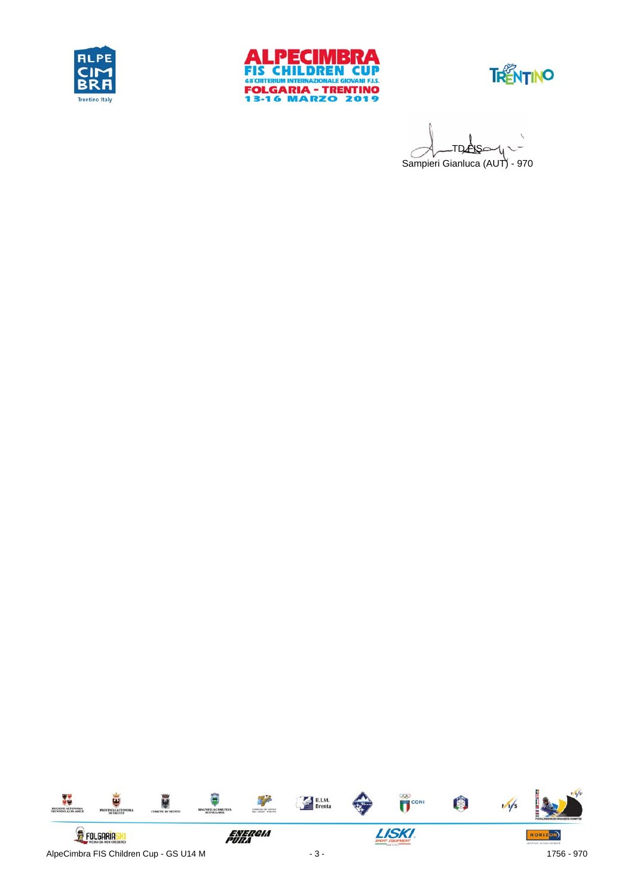





Sampieri Gianluca (AUT) - 970 **TDANS** 

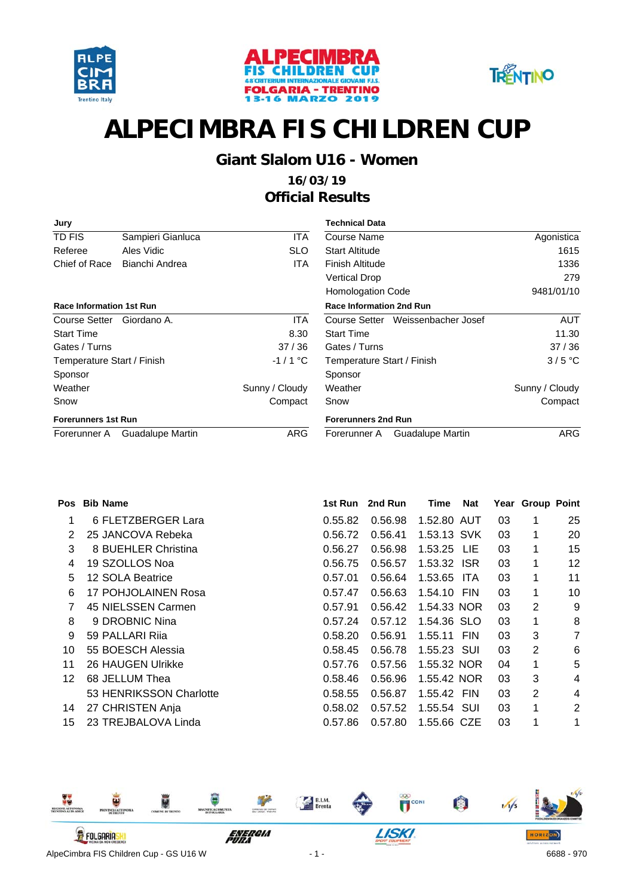





#### **Giant Slalom U16 - Women**

| Jury                            |                   |                | <b>Technical Data</b>             |                |
|---------------------------------|-------------------|----------------|-----------------------------------|----------------|
| TD FIS                          | Sampieri Gianluca | <b>ITA</b>     | Course Name                       | Agonistica     |
| Referee                         | Ales Vidic        | <b>SLO</b>     | <b>Start Altitude</b>             | 1615           |
| Chief of Race                   | Bianchi Andrea    | ITA.           | Finish Altitude                   | 1336           |
|                                 |                   |                | <b>Vertical Drop</b>              | 279            |
|                                 |                   |                | <b>Homologation Code</b>          | 9481/01/10     |
| <b>Race Information 1st Run</b> |                   |                | <b>Race Information 2nd Run</b>   |                |
| Course Setter                   | Giordano A.       | <b>ITA</b>     | Course Setter Weissenbacher Josef | <b>AUT</b>     |
| <b>Start Time</b>               |                   | 8.30           | <b>Start Time</b>                 | 11.30          |
| Gates / Turns                   |                   | 37/36          | Gates / Turns                     | 37/36          |
| Temperature Start / Finish      |                   | $-1/1$ °C      | Temperature Start / Finish        | $3/5$ °C       |
| Sponsor                         |                   |                | Sponsor                           |                |
| Weather                         |                   | Sunny / Cloudy | Weather                           | Sunny / Cloudy |
| Snow                            |                   | Compact        | Snow                              | Compact        |
| <b>Forerunners 1st Run</b>      |                   |                | <b>Forerunners 2nd Run</b>        |                |
| Forerunner A                    | Guadalupe Martin  | <b>ARG</b>     | Guadalupe Martin<br>Forerunner A  | <b>ARG</b>     |

| Pos | <b>Bib Name</b>         | 1st Run | 2nd Run | Time        | Nat  |    | Year Group Point |                |
|-----|-------------------------|---------|---------|-------------|------|----|------------------|----------------|
|     | 6 FLETZBERGER Lara      | 0.55.82 | 0.56.98 | 1.52.80 AUT |      | 03 | 1                | 25             |
| 2   | 25 JANCOVA Rebeka       | 0.56.72 | 0.56.41 | 1.53.13 SVK |      | 03 | 1                | 20             |
| 3   | 8 BUEHLER Christina     | 0.56.27 | 0.56.98 | 1.53.25 LIE |      | 03 | 1                | 15             |
| 4   | 19 SZOLLOS Noa          | 0.56.75 | 0.56.57 | 1.53.32 ISR |      | 03 | 1                | 12             |
| 5   | 12 SOLA Beatrice        | 0.57.01 | 0.56.64 | 1.53.65     | ITA. | 03 | 1                | 11             |
| 6   | 17 POHJOLAINEN Rosa     | 0.57.47 | 0.56.63 | 1.54.10 FIN |      | 03 | 1                | 10             |
| 7   | 45 NIELSSEN Carmen      | 0.57.91 | 0.56.42 | 1.54.33 NOR |      | 03 | 2                | 9              |
| 8   | 9 DROBNIC Nina          | 0.57.24 | 0.57.12 | 1.54.36 SLO |      | 03 | 1                | 8              |
| 9   | 59 PALLARI Rija         | 0.58.20 | 0.56.91 | 1.55.11 FIN |      | 03 | 3                | $\overline{7}$ |
| 10  | 55 BOESCH Alessia       | 0.58.45 | 0.56.78 | 1.55.23 SUI |      | 03 | 2                | 6              |
| 11  | 26 HAUGEN Ulrikke       | 0.57.76 | 0.57.56 | 1.55.32 NOR |      | 04 | 1                | 5              |
| 12  | 68 JELLUM Thea          | 0.58.46 | 0.56.96 | 1.55.42 NOR |      | 03 | 3                | 4              |
|     | 53 HENRIKSSON Charlotte | 0.58.55 | 0.56.87 | 1.55.42 FIN |      | 03 | 2                | 4              |
| 14  | 27 CHRISTEN Anja        | 0.58.02 | 0.57.52 | 1.55.54 SUI |      | 03 | 1                | $\overline{2}$ |
| 15  | 23 TREJBALOVA Linda     | 0.57.86 | 0.57.80 | 1.55.66 CZE |      | 03 | 1                | 1              |

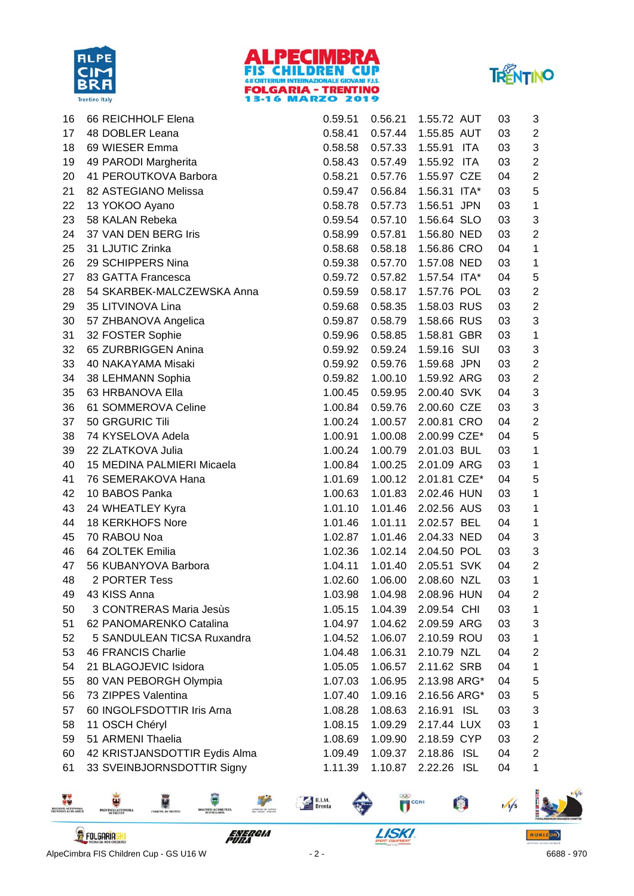





| 16 | 66 REICHHOLF Elena            | 0.59.51 | 0.56.21 | 1.55.72 AUT    | 03 | 3                         |
|----|-------------------------------|---------|---------|----------------|----|---------------------------|
| 17 | 48 DOBLER Leana               | 0.58.41 | 0.57.44 | 1.55.85 AUT    | 03 | $\overline{2}$            |
| 18 | 69 WIESER Emma                | 0.58.58 | 0.57.33 | 1.55.91<br>ITA | 03 | $\ensuremath{\mathsf{3}}$ |
| 19 | 49 PARODI Margherita          | 0.58.43 | 0.57.49 | 1.55.92 ITA    | 03 | $\overline{2}$            |
| 20 | 41 PEROUTKOVA Barbora         | 0.58.21 | 0.57.76 | 1.55.97 CZE    | 04 | $\overline{c}$            |
| 21 | 82 ASTEGIANO Melissa          | 0.59.47 | 0.56.84 | 1.56.31 ITA*   | 03 | 5                         |
| 22 | 13 YOKOO Ayano                | 0.58.78 | 0.57.73 | 1.56.51 JPN    | 03 | $\mathbf 1$               |
| 23 | 58 KALAN Rebeka               | 0.59.54 | 0.57.10 | 1.56.64 SLO    | 03 | 3                         |
| 24 | 37 VAN DEN BERG Iris          | 0.58.99 | 0.57.81 | 1.56.80 NED    | 03 | $\overline{c}$            |
| 25 | 31 LJUTIC Zrinka              | 0.58.68 | 0.58.18 | 1.56.86 CRO    | 04 | 1                         |
| 26 | 29 SCHIPPERS Nina             | 0.59.38 | 0.57.70 | 1.57.08 NED    | 03 | 1                         |
| 27 | 83 GATTA Francesca            | 0.59.72 | 0.57.82 | 1.57.54 ITA*   | 04 | $\mathbf 5$               |
| 28 | 54 SKARBEK-MALCZEWSKA Anna    | 0.59.59 | 0.58.17 | 1.57.76 POL    | 03 | $\mathbf 2$               |
| 29 | 35 LITVINOVA Lina             | 0.59.68 | 0.58.35 | 1.58.03 RUS    | 03 | $\overline{2}$            |
| 30 | 57 ZHBANOVA Angelica          | 0.59.87 | 0.58.79 | 1.58.66 RUS    | 03 | $\ensuremath{\mathsf{3}}$ |
| 31 | 32 FOSTER Sophie              | 0.59.96 | 0.58.85 | 1.58.81 GBR    | 03 | $\mathbf 1$               |
| 32 | 65 ZURBRIGGEN Anina           | 0.59.92 | 0.59.24 | 1.59.16 SUI    | 03 | 3                         |
| 33 | 40 NAKAYAMA Misaki            | 0.59.92 | 0.59.76 | 1.59.68 JPN    | 03 | $\overline{c}$            |
| 34 | 38 LEHMANN Sophia             | 0.59.82 | 1.00.10 | 1.59.92 ARG    | 03 | $\overline{c}$            |
| 35 | 63 HRBANOVA Ella              | 1.00.45 | 0.59.95 | 2.00.40 SVK    | 04 | 3                         |
| 36 | 61 SOMMEROVA Celine           | 1.00.84 | 0.59.76 | 2.00.60 CZE    | 03 | $\sqrt{3}$                |
| 37 | 50 GRGURIC Tili               | 1.00.24 | 1.00.57 | 2.00.81 CRO    | 04 | $\overline{c}$            |
| 38 | 74 KYSELOVA Adela             | 1.00.91 | 1.00.08 | 2.00.99 CZE*   | 04 | 5                         |
| 39 | 22 ZLATKOVA Julia             | 1.00.24 | 1.00.79 | 2.01.03 BUL    | 03 | $\mathbf 1$               |
| 40 | 15 MEDINA PALMIERI Micaela    | 1.00.84 | 1.00.25 | 2.01.09 ARG    | 03 | 1                         |
| 41 | 76 SEMERAKOVA Hana            | 1.01.69 | 1.00.12 | 2.01.81 CZE*   | 04 | 5                         |
| 42 | 10 BABOS Panka                | 1.00.63 | 1.01.83 | 2.02.46 HUN    | 03 | 1                         |
| 43 | 24 WHEATLEY Kyra              | 1.01.10 | 1.01.46 | 2.02.56 AUS    | 03 | 1                         |
| 44 | 18 KERKHOFS Nore              | 1.01.46 | 1.01.11 | 2.02.57 BEL    | 04 | 1                         |
| 45 | 70 RABOU Noa                  | 1.02.87 | 1.01.46 | 2.04.33 NED    | 04 | 3                         |
| 46 | 64 ZOLTEK Emilia              | 1.02.36 | 1.02.14 | 2.04.50 POL    | 03 | 3                         |
| 47 | 56 KUBANYOVA Barbora          | 1.04.11 | 1.01.40 | 2.05.51 SVK    | 04 | $\overline{c}$            |
| 48 | 2 PORTER Tess                 | 1.02.60 | 1.06.00 | 2.08.60 NZL    | 03 | 1                         |
| 49 | 43 KISS Anna                  | 1.03.98 | 1.04.98 | 2.08.96 HUN    | 04 | 2                         |
| 50 | 3 CONTRERAS Maria Jesùs       | 1.05.15 | 1.04.39 | 2.09.54 CHI    | 03 | 1                         |
| 51 | 62 PANOMARENKO Catalina       | 1.04.97 | 1.04.62 | 2.09.59 ARG    | 03 | 3                         |
| 52 | 5 SANDULEAN TICSA Ruxandra    | 1.04.52 | 1.06.07 | 2.10.59 ROU    | 03 | 1                         |
| 53 | 46 FRANCIS Charlie            | 1.04.48 | 1.06.31 | 2.10.79 NZL    | 04 | $\overline{\mathbf{c}}$   |
| 54 | 21 BLAGOJEVIC Isidora         | 1.05.05 | 1.06.57 | 2.11.62 SRB    | 04 | 1                         |
| 55 | 80 VAN PEBORGH Olympia        | 1.07.03 | 1.06.95 | 2.13.98 ARG*   | 04 | 5                         |
| 56 | 73 ZIPPES Valentina           | 1.07.40 | 1.09.16 | 2.16.56 ARG*   | 03 | 5                         |
| 57 | 60 INGOLFSDOTTIR Iris Arna    | 1.08.28 | 1.08.63 | 2.16.91 ISL    | 03 | 3                         |
| 58 | 11 OSCH Chéryl                | 1.08.15 | 1.09.29 | 2.17.44 LUX    | 03 | 1                         |
| 59 | 51 ARMENI Thaelia             | 1.08.69 | 1.09.90 | 2.18.59 CYP    | 03 | $\overline{c}$            |
| 60 | 42 KRISTJANSDOTTIR Eydis Alma | 1.09.49 | 1.09.37 | 2.18.86 ISL    | 04 | $\overline{c}$            |
| 61 | 33 SVEINBJORNSDOTTIR Signy    | 1.11.39 | 1.10.87 | 2.22.26 ISL    | 04 | 1                         |

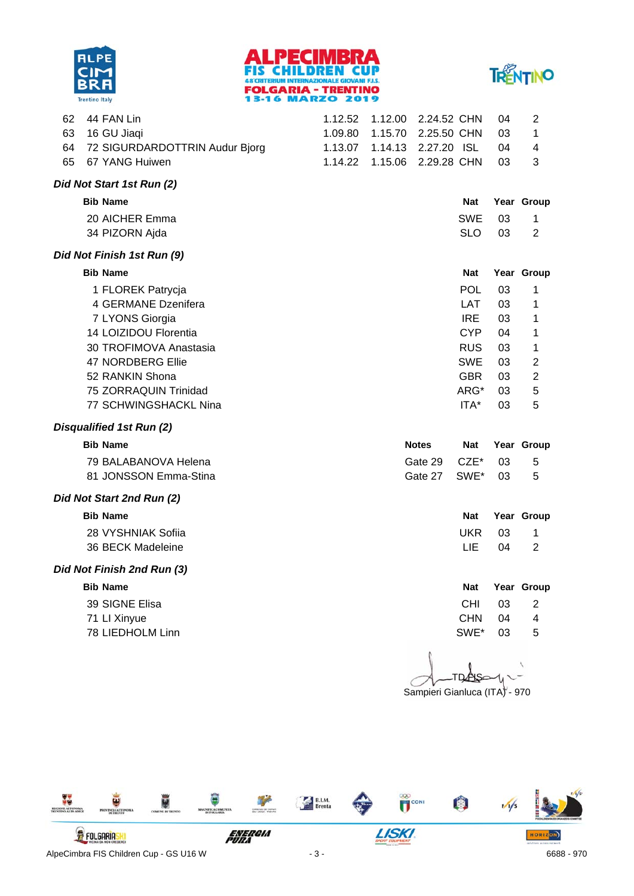





| 62 | 44 FAN Lin                     | 1.12.52 | 1.12.00 | 2.24.52 CHN  |                  | 04 | 2              |
|----|--------------------------------|---------|---------|--------------|------------------|----|----------------|
| 63 | 16 GU Jiaqi                    | 1.09.80 | 1.15.70 | 2.25.50 CHN  |                  | 03 | 1              |
| 64 | 72 SIGURDARDOTTRIN Audur Bjorg | 1.13.07 | 1.14.13 | 2.27.20 ISL  |                  | 04 | 4              |
| 65 | 67 YANG Huiwen                 | 1.14.22 | 1.15.06 | 2.29.28 CHN  |                  | 03 | 3              |
|    | Did Not Start 1st Run (2)      |         |         |              |                  |    |                |
|    | <b>Bib Name</b>                |         |         |              | <b>Nat</b>       |    | Year Group     |
|    | 20 AICHER Emma                 |         |         |              | <b>SWE</b>       | 03 | 1              |
|    | 34 PIZORN Ajda                 |         |         |              | <b>SLO</b>       | 03 | 2              |
|    | Did Not Finish 1st Run (9)     |         |         |              |                  |    |                |
|    | <b>Bib Name</b>                |         |         |              | <b>Nat</b>       |    | Year Group     |
|    | 1 FLOREK Patrycja              |         |         |              | <b>POL</b>       | 03 | 1              |
|    | 4 GERMANE Dzenifera            |         |         |              | <b>LAT</b>       | 03 | 1              |
|    | 7 LYONS Giorgia                |         |         |              | <b>IRE</b>       | 03 | 1              |
|    | 14 LOIZIDOU Florentia          |         |         |              | <b>CYP</b>       | 04 | 1              |
|    | 30 TROFIMOVA Anastasia         |         |         |              | <b>RUS</b>       | 03 | 1              |
|    | 47 NORDBERG Ellie              |         |         |              | <b>SWE</b>       | 03 | 2              |
|    | 52 RANKIN Shona                |         |         |              | <b>GBR</b>       | 03 | 2              |
|    | 75 ZORRAQUIN Trinidad          |         |         |              | ARG*             | 03 | 5              |
|    | 77 SCHWINGSHACKL Nina          |         |         |              | ITA*             | 03 | 5              |
|    | Disqualified 1st Run (2)       |         |         |              |                  |    |                |
|    | <b>Bib Name</b>                |         |         | <b>Notes</b> | Nat              |    | Year Group     |
|    | 79 BALABANOVA Helena           |         |         | Gate 29      | CZE <sup>*</sup> | 03 | 5              |
|    | 81 JONSSON Emma-Stina          |         |         | Gate 27      | SWE*             | 03 | 5              |
|    | Did Not Start 2nd Run (2)      |         |         |              |                  |    |                |
|    | <b>Bib Name</b>                |         |         |              | <b>Nat</b>       |    | Year Group     |
|    | 28 VYSHNIAK Sofiia             |         |         |              | <b>UKR</b>       | 03 | 1              |
|    | 36 BECK Madeleine              |         |         |              | LIE              | 04 | $\overline{2}$ |
|    | Did Not Finish 2nd Run (3)     |         |         |              |                  |    |                |
|    | <b>Bib Name</b>                |         |         |              | <b>Nat</b>       |    | Year Group     |
|    | 39 SIGNE Elisa                 |         |         |              | <b>CHI</b>       | 03 | 2              |
|    | 71 LI Xinyue                   |         |         |              | <b>CHN</b>       | 04 | 4              |
|    | 78 LIEDHOLM Linn               |         |         |              | SWE*             | 03 | 5              |
|    |                                |         |         |              |                  |    |                |
|    |                                |         |         |              |                  |    |                |
|    |                                |         |         |              |                  |    |                |

Sampieri Gianluca (ITA) - 970

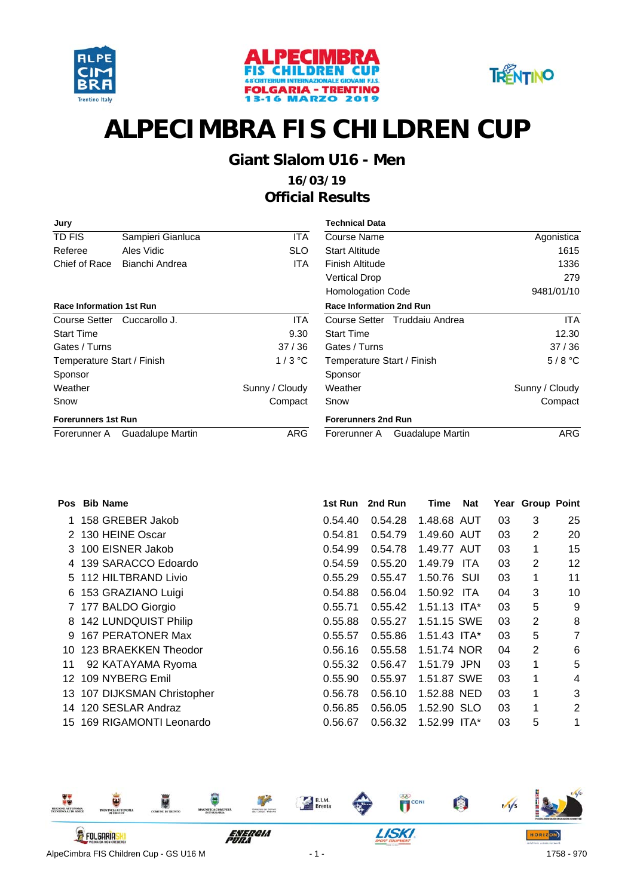





### **Giant Slalom U16 - Men**

| Jury                            |                         |                | Technical Data                   |                |  |  |
|---------------------------------|-------------------------|----------------|----------------------------------|----------------|--|--|
| TD FIS                          | Sampieri Gianluca       | <b>ITA</b>     | Course Name                      | Agonistica     |  |  |
| Referee                         | Ales Vidic              | <b>SLO</b>     | <b>Start Altitude</b>            | 1615           |  |  |
| Chief of Race                   | Bianchi Andrea          | <b>ITA</b>     | Finish Altitude                  | 1336           |  |  |
|                                 |                         |                | <b>Vertical Drop</b>             | 279            |  |  |
|                                 |                         |                | <b>Homologation Code</b>         | 9481/01/10     |  |  |
| <b>Race Information 1st Run</b> |                         |                | <b>Race Information 2nd Run</b>  |                |  |  |
| Course Setter                   | Cuccarollo J.           | <b>ITA</b>     | Course Setter Truddaiu Andrea    | ITA.           |  |  |
| <b>Start Time</b>               |                         | 9.30           | <b>Start Time</b>                | 12.30          |  |  |
| Gates / Turns                   |                         | 37/36          | Gates / Turns                    | 37/36          |  |  |
| Temperature Start / Finish      |                         | $1/3$ °C       | Temperature Start / Finish       | $5/8$ °C       |  |  |
| Sponsor                         |                         |                | Sponsor                          |                |  |  |
| Weather                         |                         | Sunny / Cloudy | Weather                          | Sunny / Cloudy |  |  |
| Snow                            |                         | Compact        | Snow                             | Compact        |  |  |
| <b>Forerunners 1st Run</b>      |                         |                | <b>Forerunners 2nd Run</b>       |                |  |  |
| Forerunner A                    | <b>Guadalupe Martin</b> | <b>ARG</b>     | Guadalupe Martin<br>Forerunner A | <b>ARG</b>     |  |  |
|                                 |                         |                |                                  |                |  |  |

| <b>Pos</b> | <b>Bib Name</b>             | 1st Run | 2nd Run | Time           | <b>Nat</b> |    | Year Group Point |                |
|------------|-----------------------------|---------|---------|----------------|------------|----|------------------|----------------|
|            | 158 GREBER Jakob            | 0.54.40 | 0.54.28 | 1.48.68 AUT    |            | 03 | 3                | 25             |
|            | 2 130 HEINE Oscar           | 0.54.81 | 0.54.79 | 1.49.60 AUT    |            | 03 | 2                | 20             |
|            | 3 100 EISNER Jakob          | 0.54.99 | 0.54.78 | 1.49.77 AUT    |            | 03 | 1                | 15             |
|            | 4 139 SARACCO Edoardo       | 0.54.59 | 0.55.20 | 1.49.79        | ITA        | 03 | 2                | 12             |
|            | 5 112 HILTBRAND Livio       | 0.55.29 | 0.55.47 | 1.50.76 SUI    |            | 03 | 1                | 11             |
| 6          | 153 GRAZIANO Luigi          | 0.54.88 | 0.56.04 | 1.50.92 ITA    |            | 04 | 3                | 10             |
|            | 7 177 BALDO Giorgio         | 0.55.71 | 0.55.42 | 1.51.13 $ITA*$ |            | 03 | 5                | 9              |
|            | 8 142 LUNDQUIST Philip      | 0.55.88 | 0.55.27 | 1.51.15 SWE    |            | 03 | 2                | 8              |
| 9.         | 167 PERATONER Max           | 0.55.57 | 0.55.86 | 1.51.43 $ITA*$ |            | 03 | 5                | 7              |
|            | 10 123 BRAEKKEN Theodor     | 0.56.16 | 0.55.58 | 1.51.74 NOR    |            | 04 | 2                | 6              |
| 11         | 92 KATAYAMA Ryoma           | 0.55.32 | 0.56.47 | 1.51.79 JPN    |            | 03 | 1                | 5              |
| 12.        | 109 NYBERG Emil             | 0.55.90 | 0.55.97 | 1.51.87 SWE    |            | 03 | 1                | 4              |
|            | 13 107 DIJKSMAN Christopher | 0.56.78 | 0.56.10 | 1.52.88 NED    |            | 03 | 1                | 3              |
| 14         | 120 SESLAR Andraz           | 0.56.85 | 0.56.05 | 1.52.90 SLO    |            | 03 | 1                | $\overline{2}$ |
|            | 15 169 RIGAMONTI Leonardo   | 0.56.67 | 0.56.32 | $1.52.99$ ITA* |            | 03 | 5                | 1              |

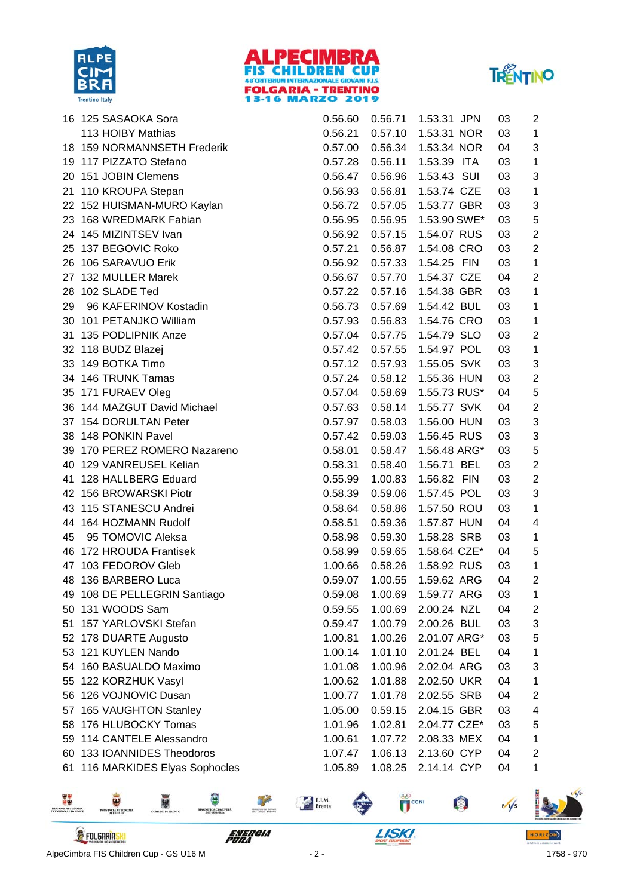





|    | 16 125 SASAOKA Sora          | 0.56.60 | 0.56.71 | 1.53.31 JPN  | 03 | 2                       |
|----|------------------------------|---------|---------|--------------|----|-------------------------|
|    | 113 HOIBY Mathias            | 0.56.21 | 0.57.10 | 1.53.31 NOR  | 03 | 1                       |
|    | 18 159 NORMANNSETH Frederik  | 0.57.00 | 0.56.34 | 1.53.34 NOR  | 04 | 3                       |
|    | 19 117 PIZZATO Stefano       | 0.57.28 | 0.56.11 | 1.53.39 ITA  | 03 | 1                       |
|    | 20 151 JOBIN Clemens         | 0.56.47 | 0.56.96 | 1.53.43 SUI  | 03 | 3                       |
|    | 21 110 KROUPA Stepan         | 0.56.93 | 0.56.81 | 1.53.74 CZE  | 03 | 1                       |
|    | 22 152 HUISMAN-MURO Kaylan   | 0.56.72 | 0.57.05 | 1.53.77 GBR  | 03 | 3                       |
|    | 23 168 WREDMARK Fabian       | 0.56.95 | 0.56.95 | 1.53.90 SWE* | 03 | 5                       |
|    | 24 145 MIZINTSEV Ivan        | 0.56.92 | 0.57.15 | 1.54.07 RUS  | 03 | $\mathbf 2$             |
|    | 25 137 BEGOVIC Roko          | 0.57.21 | 0.56.87 | 1.54.08 CRO  | 03 | $\overline{2}$          |
|    | 26 106 SARAVUO Erik          | 0.56.92 | 0.57.33 | 1.54.25 FIN  | 03 | 1                       |
|    | 27 132 MULLER Marek          | 0.56.67 | 0.57.70 | 1.54.37 CZE  | 04 | $\mathbf 2$             |
|    | 28 102 SLADE Ted             | 0.57.22 | 0.57.16 | 1.54.38 GBR  | 03 | 1                       |
| 29 | 96 KAFERINOV Kostadin        | 0.56.73 | 0.57.69 | 1.54.42 BUL  | 03 | 1                       |
|    | 30 101 PETANJKO William      | 0.57.93 | 0.56.83 | 1.54.76 CRO  | 03 | 1                       |
|    | 31 135 PODLIPNIK Anze        | 0.57.04 | 0.57.75 | 1.54.79 SLO  | 03 | $\mathbf 2$             |
|    | 32 118 BUDZ Blazej           | 0.57.42 | 0.57.55 | 1.54.97 POL  | 03 | 1                       |
|    | 33 149 BOTKA Timo            | 0.57.12 | 0.57.93 | 1.55.05 SVK  | 03 | 3                       |
|    | 34 146 TRUNK Tamas           | 0.57.24 | 0.58.12 | 1.55.36 HUN  | 03 | $\overline{2}$          |
|    | 35 171 FURAEV Oleg           | 0.57.04 | 0.58.69 | 1.55.73 RUS* | 04 | $\mathbf 5$             |
|    | 36 144 MAZGUT David Michael  | 0.57.63 | 0.58.14 | 1.55.77 SVK  | 04 | $\overline{2}$          |
|    | 37 154 DORULTAN Peter        | 0.57.97 | 0.58.03 | 1.56.00 HUN  | 03 | 3                       |
|    | 38 148 PONKIN Pavel          | 0.57.42 | 0.59.03 | 1.56.45 RUS  | 03 | 3                       |
|    | 39 170 PEREZ ROMERO Nazareno | 0.58.01 | 0.58.47 | 1.56.48 ARG* | 03 | 5                       |
|    | 40 129 VANREUSEL Kelian      | 0.58.31 | 0.58.40 | 1.56.71 BEL  | 03 | $\overline{2}$          |
|    | 41 128 HALLBERG Eduard       | 0.55.99 | 1.00.83 | 1.56.82 FIN  | 03 | $\mathbf 2$             |
|    | 42 156 BROWARSKI Piotr       | 0.58.39 | 0.59.06 | 1.57.45 POL  | 03 | 3                       |
|    | 43 115 STANESCU Andrei       | 0.58.64 | 0.58.86 | 1.57.50 ROU  | 03 | 1                       |
|    | 44 164 HOZMANN Rudolf        | 0.58.51 | 0.59.36 | 1.57.87 HUN  | 04 | 4                       |
| 45 | 95 TOMOVIC Aleksa            | 0.58.98 | 0.59.30 | 1.58.28 SRB  | 03 | 1                       |
|    | 46 172 HROUDA Frantisek      | 0.58.99 | 0.59.65 | 1.58.64 CZE* | 04 | 5                       |
|    | 47 103 FEDOROV Gleb          | 1.00.66 | 0.58.26 | 1.58.92 RUS  | 03 | 1                       |
|    | 48 136 BARBERO Luca          | 0.59.07 | 1.00.55 | 1.59.62 ARG  | 04 | 2                       |
|    | 49 108 DE PELLEGRIN Santiago | 0.59.08 | 1.00.69 | 1.59.77 ARG  | 03 | 1                       |
|    | 50 131 WOODS Sam             | 0.59.55 | 1.00.69 | 2.00.24 NZL  | 04 | 2                       |
|    | 51 157 YARLOVSKI Stefan      | 0.59.47 | 1.00.79 | 2.00.26 BUL  | 03 | 3                       |
|    | 52 178 DUARTE Augusto        | 1.00.81 | 1.00.26 | 2.01.07 ARG* | 03 | 5                       |
|    | 53 121 KUYLEN Nando          | 1.00.14 | 1.01.10 | 2.01.24 BEL  | 04 | 1                       |
|    | 54 160 BASUALDO Maximo       | 1.01.08 | 1.00.96 | 2.02.04 ARG  | 03 | 3                       |
|    | 55 122 KORZHUK Vasyl         | 1.00.62 | 1.01.88 | 2.02.50 UKR  | 04 | 1                       |
|    | 56 126 VOJNOVIC Dusan        | 1.00.77 | 1.01.78 | 2.02.55 SRB  | 04 | 2                       |
|    | 57 165 VAUGHTON Stanley      | 1.05.00 | 0.59.15 | 2.04.15 GBR  | 03 | 4                       |
|    | 58 176 HLUBOCKY Tomas        | 1.01.96 | 1.02.81 | 2.04.77 CZE* | 03 | 5                       |
|    | 59 114 CANTELE Alessandro    | 1.00.61 | 1.07.72 | 2.08.33 MEX  | 04 | 1                       |
|    | 60 133 IOANNIDES Theodoros   | 1.07.47 | 1.06.13 | 2.13.60 CYP  | 04 | $\overline{\mathbf{c}}$ |
| 61 | 116 MARKIDES Elyas Sophocles | 1.05.89 | 1.08.25 | 2.14.14 CYP  | 04 | 1                       |

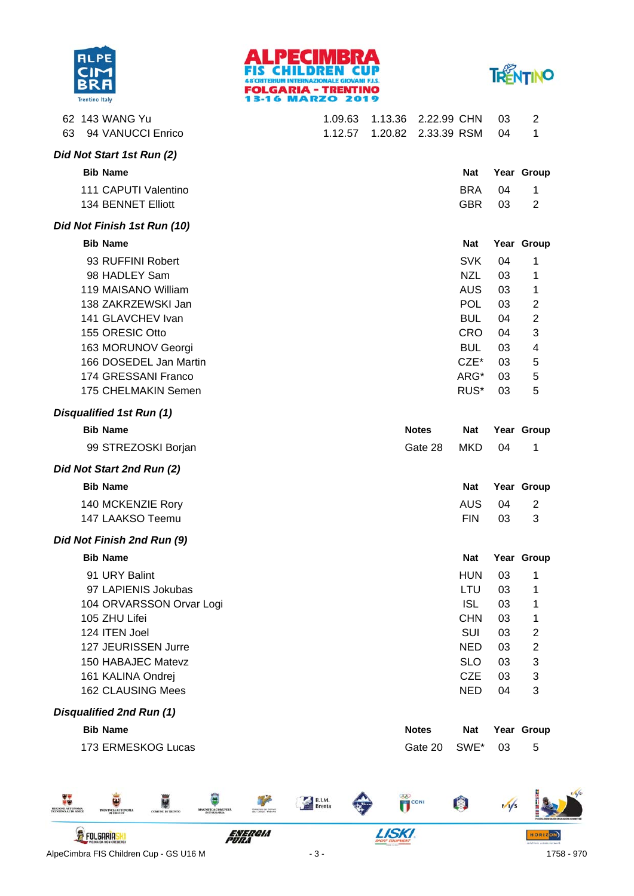





|    | 62 143 WANG Yu                  | 1.09.63 | 1.13.36 | 2.22.99 CHN         |            | 03 | 2                |
|----|---------------------------------|---------|---------|---------------------|------------|----|------------------|
| 63 | 94 VANUCCI Enrico               | 1.12.57 |         | 1.20.82 2.33.39 RSM |            | 04 | 1                |
|    | Did Not Start 1st Run (2)       |         |         |                     |            |    |                  |
|    | <b>Bib Name</b>                 |         |         |                     | <b>Nat</b> |    | Year Group       |
|    | 111 CAPUTI Valentino            |         |         |                     | <b>BRA</b> | 04 | 1                |
|    | 134 BENNET Elliott              |         |         |                     | <b>GBR</b> | 03 | 2                |
|    | Did Not Finish 1st Run (10)     |         |         |                     |            |    |                  |
|    | <b>Bib Name</b>                 |         |         |                     | <b>Nat</b> |    | Year Group       |
|    | 93 RUFFINI Robert               |         |         |                     | <b>SVK</b> | 04 | 1                |
|    | 98 HADLEY Sam                   |         |         |                     | <b>NZL</b> | 03 | 1                |
|    | 119 MAISANO William             |         |         |                     | <b>AUS</b> | 03 | 1                |
|    | 138 ZAKRZEWSKI Jan              |         |         |                     | <b>POL</b> | 03 | $\overline{2}$   |
|    | 141 GLAVCHEV Ivan               |         |         |                     | <b>BUL</b> | 04 | $\overline{c}$   |
|    | 155 ORESIC Otto                 |         |         |                     | <b>CRO</b> | 04 | 3                |
|    | 163 MORUNOV Georgi              |         |         |                     | <b>BUL</b> | 03 | 4                |
|    | 166 DOSEDEL Jan Martin          |         |         |                     | $CZE^*$    | 03 | 5                |
|    | 174 GRESSANI Franco             |         |         |                     | ARG*       | 03 | 5                |
|    | 175 CHELMAKIN Semen             |         |         |                     | RUS*       | 03 | 5                |
|    | Disqualified 1st Run (1)        |         |         |                     |            |    |                  |
|    | <b>Bib Name</b>                 |         |         | <b>Notes</b>        | <b>Nat</b> |    | Year Group       |
|    | 99 STREZOSKI Borjan             |         |         | Gate 28             | <b>MKD</b> | 04 | 1                |
|    | Did Not Start 2nd Run (2)       |         |         |                     |            |    |                  |
|    | <b>Bib Name</b>                 |         |         |                     | <b>Nat</b> |    | Year Group       |
|    | 140 MCKENZIE Rory               |         |         |                     | <b>AUS</b> | 04 | $\overline{2}$   |
|    | 147 LAAKSO Teemu                |         |         |                     | <b>FIN</b> | 03 | 3                |
|    | Did Not Finish 2nd Run (9)      |         |         |                     |            |    |                  |
|    | <b>Bib Name</b>                 |         |         |                     | <b>Nat</b> |    | Year Group       |
|    | 91 URY Balint                   |         |         |                     | HUN        | 03 | 1                |
|    | 97 LAPIENIS Jokubas             |         |         |                     | LTU        | 03 | 1                |
|    | 104 ORVARSSON Orvar Logi        |         |         |                     | <b>ISL</b> | 03 | 1                |
|    | 105 ZHU Lifei                   |         |         |                     | <b>CHN</b> | 03 | 1                |
|    | 124 ITEN Joel                   |         |         |                     | SUI        | 03 | $\overline{c}$   |
|    | 127 JEURISSEN Jurre             |         |         |                     | <b>NED</b> | 03 | $\boldsymbol{2}$ |
|    | 150 HABAJEC Matevz              |         |         |                     | <b>SLO</b> | 03 | 3                |
|    | 161 KALINA Ondrej               |         |         |                     | <b>CZE</b> | 03 | 3                |
|    | 162 CLAUSING Mees               |         |         |                     | <b>NED</b> | 04 | 3                |
|    | <b>Disqualified 2nd Run (1)</b> |         |         |                     |            |    |                  |
|    | <b>Bib Name</b>                 |         |         | <b>Notes</b>        | <b>Nat</b> |    | Year Group       |

173 ERMESKOG Lucas **5** Gate 20 SWE\* 03 5